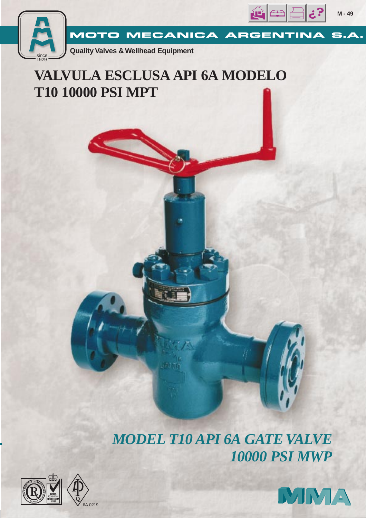

**M - 49**



# **VALVULA ESCLUSA API 6A MODELO T10 10000 PSI MPT**

*MODEL T10 API 6A GATE VALVE 10000 PSI MWP*





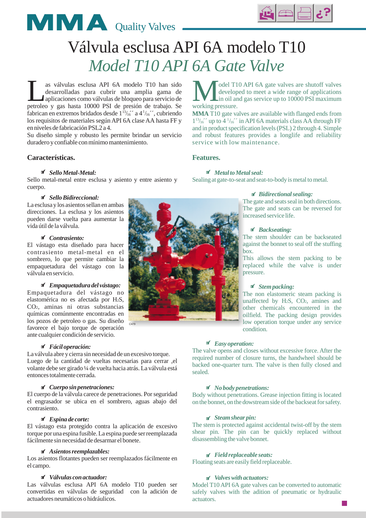



# Válvula esclusa API 6A modelo T10 *Model T10 API 6A Gate Valve*

as válvulas esclusa API 6A modelo T10 han sido<br>desarrolladas para cubrir una amplia gama de<br>aplicaciones como válvulas de bloqueo para servicio de<br>petroleo y gas hasta 10000 PSI de presión de trabajo. Se desarrolladas para cubrir una amplia gama de aplicaciones como válvulas de bloqueo para servicio de petroleo y gas hasta 10000 PSI de presión de trabajo. Se fabrican en extremos bridados desde  $1^{13}/16$  a  $4^{1}/16$ , cubriendo los requisitos de materiales según API 6A clase AA hasta FF y en niveles de fabricación PSL2 a 4.

Su diseño simple y robusto les permite brindar un servicio duradero y confiable con mínimo mantenimiento.

# **Características.**

## *Sello Metal-Metal:*

Sello metal-metal entre esclusa y asiento y entre asiento y cuerpo.

## *Sello Bidireccional:*

La esclusa y los asientos sellan en ambas direcciones. La esclusa y los asientos pueden darse vuelta para aumentar la vida útil de la válvula.

# *Contrasiento:*

El vástago esta diseñado para hacer contrasiento metal-metal en el sombrero, lo que permite cambiar la empaquetadura del vástago con la válvula en servicio.

*Empaquetadura del vástago:* Empaquetadura del vástago no elastomérica no es afectada por H2S, CO<sub>2</sub>, aminas ni otras substancias químicas comúnmente encontradas en los pozos de petroleo o gas. Su diseño favorece el bajo torque de operación ante cualquier condición de servicio.

#### *Fácil operación:*

La válvula abre y cierra sin necesidad de un excesivo torque. Luego de la cantidad de vueltas necesarias para cerrar ,el volante debe ser girado ¼ de vuelta hacia atrás. La válvula está entonces totalmente cerrada.

C479

#### *Cuerpo sin penetraciones:*

El cuerpo de la válvula carece de penetraciones. Por seguridad el engrasador se ubica en el sombrero, aguas abajo del contrasiento.

#### *Espina de corte:*

El vástago esta protegido contra la aplicación de excesivo torque por una espina fusible. La espina puede ser reemplazada fácilmente sin necesidad de desarmar el bonete.

# *Asientos reemplazables:*

Los asientos flotantes pueden ser reemplazados fácilmente en el campo.

#### *Válvulas con actuador:*

Las válvulas esclusa API 6A modelo T10 pueden ser convertidas en válvulas de seguridad con la adición de actuadores neumáticos o hidráulicos.

Model T10 API 6A gate valves are shutoff valves<br>developed to meet a wide range of applications<br>working pressure developed to meet a wide range of applications in oil and gas service up to 10000 PSI maximum working pressure.

MMA T10 gate valves are available with flanged ends from  $1<sup>13</sup>/16$  up to  $4<sup>1</sup>/16$  in API 6A materials class AA through FF and in product specification levels (PSL) 2 through 4. Simple and robust features provides a longlife and reliability service with low maintenance.

## **Features.**

#### *Metal to Metal seal:*

Sealing at gate-to-seat and seat-to-body is metal to metal.

## *Bidirectional sealing:*

The gate and seats seal in both directions. The gate and seats can be reversed for increased service life.

#### *Backseating:*

The stem shoulder can be backseated against the bonnet to seal off the stuffing box.

This allows the stem packing to be replaced while the valve is under pressure.

## *Stempacking:*

The non elastomeric steam packing is unaffected by H<sub>2</sub>S, CO<sub>2</sub>, amines and other chemicals encountered in the oilfield. The packing design provides low operation torque under any service condition.

# *Easy operation:*

The valve opens and closes without excessive force. After the required number of closure turns, the handwheel should be backed one-quarter turn. The valve is then fully closed and sealed.

## *No body penetrations:*

Body without penetrations. Grease injection fitting is located on the bonnet, on the dowstreamside of the backseat for safety.

#### *Steamshear pin:*

The stem is protected against accidental twist-off by the stem shear pin. The pin can be quickly replaced without disassembling the valve bonnet.

### *Field replaceable seats:*

Floating seats are easily field replaceable.

## *Valves with actuators:*

Model T10 API 6A gate valves can be converted to automatic safely valves with the adition of pneumatic or hydraulic actuators.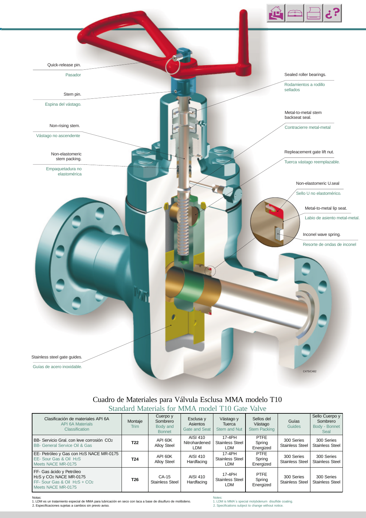

# Cuadro de Materiales para Válvula Esclusa MMA modelo T10 Standard Materials for MMA model T10 Gate Valve

| Clasificación de materiales API 6A<br><b>API 6A Materials</b><br>Classification                                                                            | Montaje<br>Trim | Cuerpo y<br>Sombrero<br>Body and<br><b>Bonnet</b> | Esclusa y<br>Asientos<br>Gate and Seat | Vástago y<br>Tuerca<br>Stem and Nut            | Sellos del<br>Vástago<br><b>Stem Packing</b> | Guías<br><b>Guides</b>               | Sello Cuerpo y<br>Sombrero<br>Body - Bonnet<br>Seal |
|------------------------------------------------------------------------------------------------------------------------------------------------------------|-----------------|---------------------------------------------------|----------------------------------------|------------------------------------------------|----------------------------------------------|--------------------------------------|-----------------------------------------------------|
| BB- Servicio Gral, con leve corrosión CO <sub>2</sub><br><b>BB- General Service Oil &amp; Gas</b>                                                          | T <sub>22</sub> | API 60K<br><b>Alloy Steel</b>                     | AISI 410<br>Nitrohardened<br>LDM       | 17-4PH<br><b>Stainless Steel</b><br><b>LDM</b> | <b>PTFE</b><br>Spring<br>Energized           | 300 Series<br><b>Stainless Steel</b> | 300 Series<br><b>Stainless Steel</b>                |
| EE- Petróleo y Gas con H2S NACE MR-0175<br>EE- Sour Gas & Oil H2S<br>Meets NACE MR-0175                                                                    | T <sub>24</sub> | API 60K<br><b>Alloy Steel</b>                     | AISI 410<br>Hardfacing                 | 17-4PH<br><b>Stainless Steel</b><br><b>LDM</b> | <b>PTFE</b><br>Spring<br>Energized           | 300 Series<br>Stainless Steel        | 300 Series<br><b>Stainless Steel</b>                |
| FF- Gas ácido y Petróleo<br>H <sub>2</sub> S y CO <sub>2</sub> NACE MR-0175<br>FF- Sour Gas & Oil H <sub>2</sub> S + CO <sub>2</sub><br>Meets NACE MR-0175 | T <sub>26</sub> | CA-15<br><b>Stainless Steel</b>                   | AISI 410<br>Hardfacing                 | 17-4PH<br><b>Stainless Steel</b><br><b>LDM</b> | <b>PTFE</b><br>Spring<br>Energized           | 300 Series<br><b>Stainless Steel</b> | 300 Series<br><b>Stainless Steel</b>                |

Notas: 1. LDM es un tratamiento especial de MMA para lubricación en seco con laca a base de disulfuro de molibdeno. 2. Especificaciones sujetas a cambios sin previo aviso.

Notes: 1. LDM is MMA´s special molybdenum disulfide coating. 2. Specifications subject to change without notice.